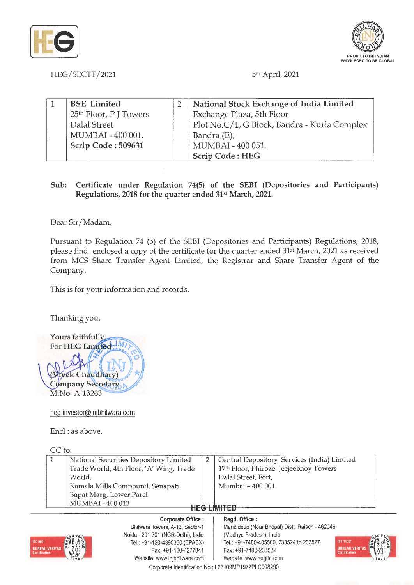



HEG/SECTT/2021 5<sup>th</sup> April, 2021

| BSE Limited                        | National Stock Exchange of India Limited     |  |
|------------------------------------|----------------------------------------------|--|
| 25 <sup>th</sup> Floor, P J Towers | Exchange Plaza, 5th Floor                    |  |
| Dalal Street                       | Plot No.C/1, G Block, Bandra - Kurla Complex |  |
| MUMBAI - 400 001.                  | Bandra (E),                                  |  |
| Scrip Code: 509631                 | MUMBAI - 400 051.                            |  |
|                                    | <b>Scrip Code: HEG</b>                       |  |

**Sub: Certificate under Regulation 74(5) of the SEBI (Depositories and Participants) Regulations, 2018 for the quarter ended 31st March, 2021.** 

Dear Sir/ Madam,

Pursuant to Regulation 74 (5) of the SEBI (Depositories and Participants) Regulations, 2018, please find enclosed a copy of the certificate for the quarter ended 31st March, 2021 as received from MCS Share Transfer Agent Limited, the Registrar and Share Transfer Agent of the Company.

This is for your information and records.

Thanking you,



heg.investor@lnjbhilwara.com

Encl: as above.

| IC to: |                                         |  |                                             |  |  |
|--------|-----------------------------------------|--|---------------------------------------------|--|--|
|        | National Securities Depository Limited  |  | Central Depository Services (India) Limited |  |  |
|        | Trade World, 4th Floor, 'A' Wing, Trade |  | 17th Floor, Phiroze Jeejeebhoy Towers       |  |  |
|        | World.                                  |  | Dalal Street, Fort,                         |  |  |
|        | Kamala Mills Compound, Senapati         |  | Mumbai - 400 001.                           |  |  |
|        | Bapat Marg, Lower Parel                 |  |                                             |  |  |
|        | MUMBAI - 400 013                        |  |                                             |  |  |
|        |                                         |  |                                             |  |  |

## **Corporate Office** :



**Regd. Office** : Mandideep (Near Bhopal) Distt. Raisen - 462046 (Madhya Pradesh), India Tel.: +91 -7480-405500, 233524 to 233527 Fax: +91 -7480-233522